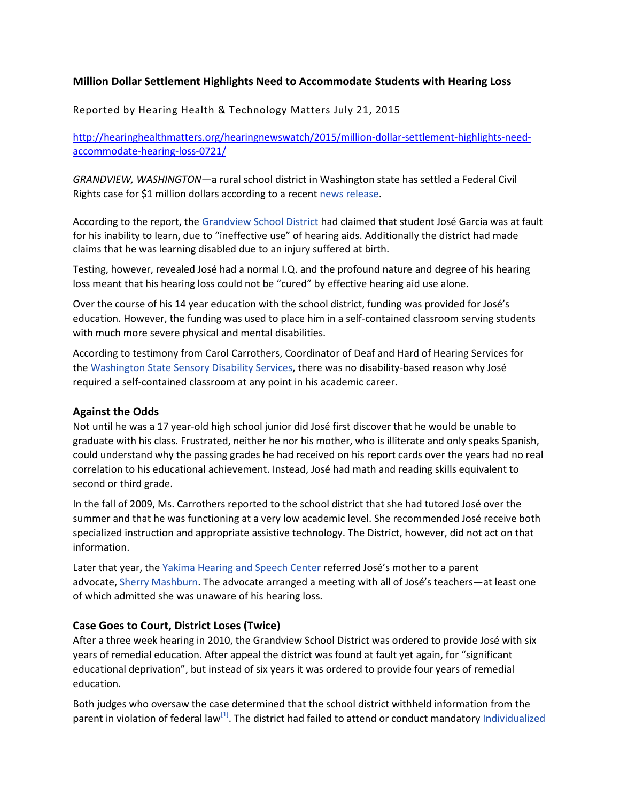### **Million Dollar Settlement Highlights Need to Accommodate Students with Hearing Loss**

Reported by Hearing Health & Technology Matters July 21, 2015

[http://hearinghealthmatters.org/hearingnewswatch/2015/million-dollar-settlement-highlights-need](http://hearinghealthmatters.org/hearingnewswatch/2015/million-dollar-settlement-highlights-need-accommodate-hearing-loss-0721/)[accommodate-hearing-loss-0721/](http://hearinghealthmatters.org/hearingnewswatch/2015/million-dollar-settlement-highlights-need-accommodate-hearing-loss-0721/)

*GRANDVIEW, WASHINGTON*—a rural school district in Washington state has settled a Federal Civil Rights case for \$1 million dollars according to a recent news [release.](http://www.kimatv.com/news/local/Grandview-School-District-pays-1-million-settlement-for-educational-deprivation-of-a-deaf-student-312305391.html)

According to the report, the [Grandview](http://www.gsd200.org/site/default.aspx?PageID=1) School District had claimed that student José Garcia was at fault for his inability to learn, due to "ineffective use" of hearing aids. Additionally the district had made claims that he was learning disabled due to an injury suffered at birth.

Testing, however, revealed José had a normal I.Q. and the profound nature and degree of his hearing loss meant that his hearing loss could not be "cured" by effective hearing aid use alone.

Over the course of his 14 year education with the school district, funding was provided for José's education. However, the funding was used to place him in a self-contained classroom serving students with much more severe physical and mental disabilities.

According to testimony from Carol Carrothers, Coordinator of Deaf and Hard of Hearing Services for the [Washington](http://dev.wsdsonline.org/about-us/our-staff/) State Sensory Disability Services, there was no disability-based reason why José required a self-contained classroom at any point in his academic career.

#### **Against the Odds**

Not until he was a 17 year-old high school junior did José first discover that he would be unable to graduate with his class. Frustrated, neither he nor his mother, who is illiterate and only speaks Spanish, could understand why the passing grades he had received on his report cards over the years had no real correlation to his educational achievement. Instead, José had math and reading skills equivalent to second or third grade.

In the fall of 2009, Ms. Carrothers reported to the school district that she had tutored José over the summer and that he was functioning at a very low academic level. She recommended José receive both specialized instruction and appropriate assistive technology. The District, however, did not act on that information.

Later that year, the Yakima [Hearing](http://www.hearingandspeechcenter.com/) and Speech Center referred José's mother to a parent advocate, Sherry [Mashburn](http://wapave.org/). The advocate arranged a meeting with all of José's teachers—at least one of which admitted she was unaware of his hearing loss.

### **Case Goes to Court, District Loses (Twice)**

After a three week hearing in 2010, the Grandview School District was ordered to provide José with six years of remedial education. After appeal the district was found at fault yet again, for "significant educational deprivation", but instead of six years it was ordered to provide four years of remedial education.

Both judges who oversaw the case determined that the school district withheld information from the parent in violation of federal law<sup>[\[1\]](http://hearinghealthmatters.org/hearingnewswatch/2015/million-dollar-settlement-highlights-need-accommodate-hearing-loss-0721/#footnote-1)</sup>. The district had failed to attend or conduct mandatory [Individualized](https://en.wikipedia.org/wiki/Individualized_Education_Program)